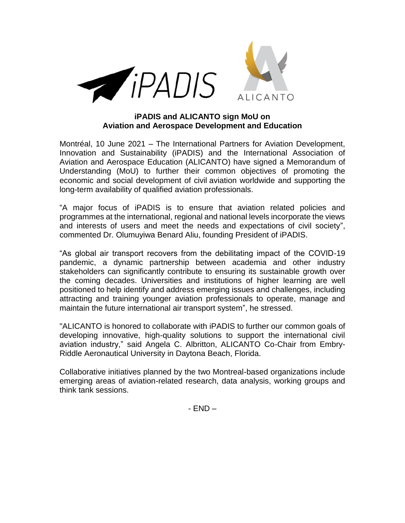



## **iPADIS and ALICANTO sign MoU on Aviation and Aerospace Development and Education**

Montréal, 10 June 2021 – The International Partners for Aviation Development, Innovation and Sustainability (iPADIS) and the International Association of Aviation and Aerospace Education (ALICANTO) have signed a Memorandum of Understanding (MoU) to further their common objectives of promoting the economic and social development of civil aviation worldwide and supporting the long-term availability of qualified aviation professionals.

"A major focus of iPADIS is to ensure that aviation related policies and programmes at the international, regional and national levels incorporate the views and interests of users and meet the needs and expectations of civil society", commented Dr. Olumuyiwa Benard Aliu, founding President of iPADIS.

"As global air transport recovers from the debilitating impact of the COVID-19 pandemic, a dynamic partnership between academia and other industry stakeholders can significantly contribute to ensuring its sustainable growth over the coming decades. Universities and institutions of higher learning are well positioned to help identify and address emerging issues and challenges, including attracting and training younger aviation professionals to operate, manage and maintain the future international air transport system", he stressed.

"ALICANTO is honored to collaborate with iPADIS to further our common goals of developing innovative, high-quality solutions to support the international civil aviation industry," said Angela C. Albritton, ALICANTO Co-Chair from Embry-Riddle Aeronautical University in Daytona Beach, Florida.

Collaborative initiatives planned by the two Montreal-based organizations include emerging areas of aviation-related research, data analysis, working groups and think tank sessions.

- END –